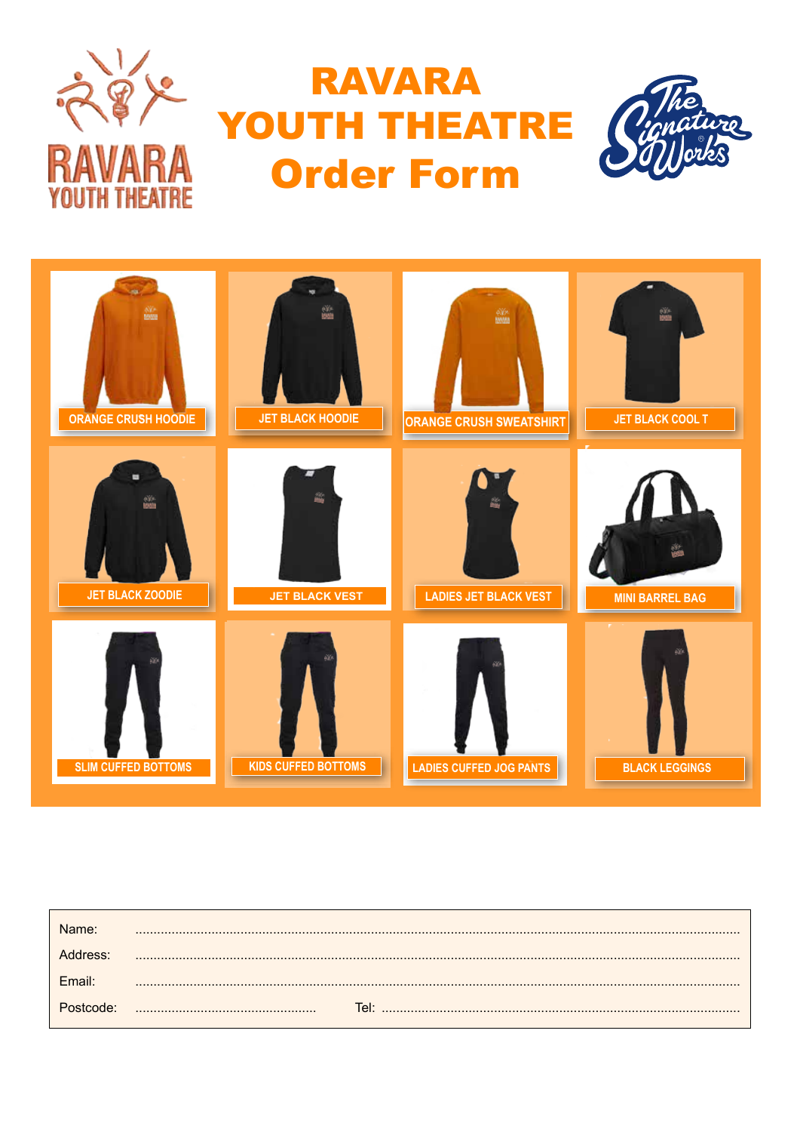

## **RAVARA** YOUTH THEATRE **Order Form**





| Name <sup>.</sup> |        |
|-------------------|--------|
| Address:          |        |
| <b>Fmail</b>      |        |
| ostcode:          | Tel: l |